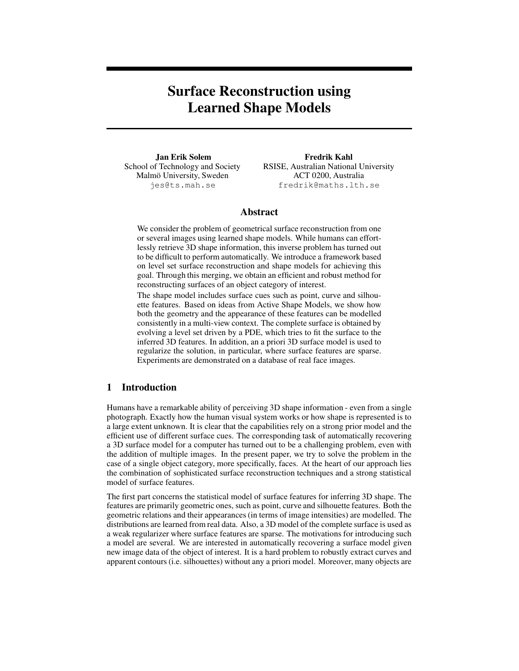# **Surface Reconstruction using Learned Shape Models**

**Jan Erik Solem** School of Technology and Society Malmö University, Sweden jes@ts.mah.se

**Fredrik Kahl** RSISE, Australian National University ACT 0200, Australia fredrik@maths.lth.se

## **Abstract**

We consider the problem of geometrical surface reconstruction from one or several images using learned shape models. While humans can effortlessly retrieve 3D shape information, this inverse problem has turned out to be difficult to perform automatically. We introduce a framework based on level set surface reconstruction and shape models for achieving this goal. Through this merging, we obtain an efficient and robust method for reconstructing surfaces of an object category of interest.

The shape model includes surface cues such as point, curve and silhouette features. Based on ideas from Active Shape Models, we show how both the geometry and the appearance of these features can be modelled consistently in a multi-view context. The complete surface is obtained by evolving a level set driven by a PDE, which tries to fit the surface to the inferred 3D features. In addition, an a priori 3D surface model is used to regularize the solution, in particular, where surface features are sparse. Experiments are demonstrated on a database of real face images.

## **1 Introduction**

Humans have a remarkable ability of perceiving 3D shape information - even from a single photograph. Exactly how the human visual system works or how shape is represented is to a large extent unknown. It is clear that the capabilities rely on a strong prior model and the efficient use of different surface cues. The corresponding task of automatically recovering a 3D surface model for a computer has turned out to be a challenging problem, even with the addition of multiple images. In the present paper, we try to solve the problem in the case of a single object category, more specifically, faces. At the heart of our approach lies the combination of sophisticated surface reconstruction techniques and a strong statistical model of surface features.

The first part concerns the statistical model of surface features for inferring 3D shape. The features are primarily geometric ones, such as point, curve and silhouette features. Both the geometric relations and their appearances (in terms of image intensities) are modelled. The distributions are learned from real data. Also, a 3D model of the complete surface is used as a weak regularizer where surface features are sparse. The motivations for introducing such a model are several. We are interested in automatically recovering a surface model given new image data of the object of interest. It is a hard problem to robustly extract curves and apparent contours (i.e. silhouettes) without any a priori model. Moreover, many objects are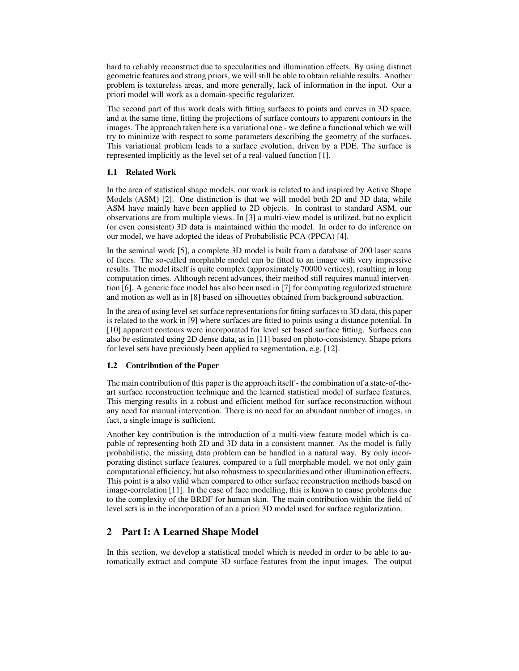hard to reliably reconstruct due to specularities and illumination effects. By using distinct geometric features and strong priors, we will still be able to obtain reliable results. Another problem is textureless areas, and more generally, lack of information in the input. Our a priori model will work as a domain-specific regularizer.

The second part of this work deals with fitting surfaces to points and curves in 3D space, and at the same time, fitting the projections of surface contours to apparent contours in the images. The approach taken here is a variational one - we define a functional which we will try to minimize with respect to some parameters describing the geometry of the surfaces. This variational problem leads to a surface evolution, driven by a PDE. The surface is represented implicitly as the level set of a real-valued function [1].

## **1.1 Related Work**

In the area of statistical shape models, our work is related to and inspired by Active Shape Models (ASM) [2]. One distinction is that we will model both 2D and 3D data, while ASM have mainly have been applied to 2D objects. In contrast to standard ASM, our observations are from multiple views. In [3] a multi-view model is utilized, but no explicit (or even consistent) 3D data is maintained within the model. In order to do inference on our model, we have adopted the ideas of Probabilistic PCA (PPCA) [4].

In the seminal work [5], a complete 3D model is built from a database of 200 laser scans of faces. The so-called morphable model can be fitted to an image with very impressive results. The model itself is quite complex (approximately 70000 vertices), resulting in long computation times. Although recent advances, their method still requires manual intervention [6]. A generic face model has also been used in [7] for computing regularized structure and motion as well as in [8] based on silhouettes obtained from background subtraction.

In the area of using level set surface representations for fitting surfaces to 3D data, this paper is related to the work in [9] where surfaces are fitted to points using a distance potential. In [10] apparent contours were incorporated for level set based surface fitting. Surfaces can also be estimated using 2D dense data, as in [11] based on photo-consistency. Shape priors for level sets have previously been applied to segmentation, e.g. [12].

#### **1.2 Contribution of the Paper**

The main contribution of this paper is the approach itself - the combination of a state-of-theart surface reconstruction technique and the learned statistical model of surface features. This merging results in a robust and efficient method for surface reconstruction without any need for manual intervention. There is no need for an abundant number of images, in fact, a single image is sufficient.

Another key contribution is the introduction of a multi-view feature model which is capable of representing both 2D and 3D data in a consistent manner. As the model is fully probabilistic, the missing data problem can be handled in a natural way. By only incorporating distinct surface features, compared to a full morphable model, we not only gain computational efficiency, but also robustness to specularities and other illumination effects. This point is a also valid when compared to other surface reconstruction methods based on image-correlation [11]. In the case of face modelling, this is known to cause problems due to the complexity of the BRDF for human skin. The main contribution within the field of level sets is in the incorporation of an a priori 3D model used for surface regularization.

## **2 Part I: A Learned Shape Model**

In this section, we develop a statistical model which is needed in order to be able to automatically extract and compute 3D surface features from the input images. The output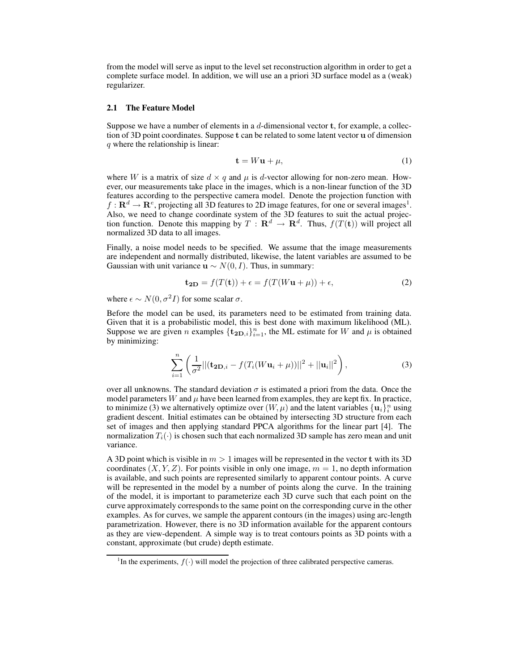from the model will serve as input to the level set reconstruction algorithm in order to get a complete surface model. In addition, we will use an a priori 3D surface model as a (weak) regularizer.

#### **2.1 The Feature Model**

Suppose we have a number of elements in a  $d$ -dimensional vector **t**, for example, a collection of 3D point coordinates. Suppose t can be related to some latent vector u of dimension q where the relationship is linear:

$$
\mathbf{t} = W\mathbf{u} + \mu,\tag{1}
$$

where W is a matrix of size  $d \times q$  and  $\mu$  is d-vector allowing for non-zero mean. However, our measurements take place in the images, which is a non-linear function of the 3D features according to the perspective camera model. Denote the projection function with  $f: \mathbf{R}^d \to \mathbf{R}^e$ , projecting all 3D features to 2D image features, for one or several images<sup>1</sup>. Also, we need to change coordinate system of the 3D features to suit the actual projection function. Denote this mapping by  $T : \mathbf{R}^d \to \mathbf{R}^d$ . Thus,  $f(T(\mathbf{t}))$  will project all normalized 3D data to all images.

Finally, a noise model needs to be specified. We assume that the image measurements are independent and normally distributed, likewise, the latent variables are assumed to be Gaussian with unit variance  $\mathbf{u} \sim N(0, I)$ . Thus, in summary:

$$
\mathbf{t}_{2D} = f(T(\mathbf{t})) + \epsilon = f(T(W\mathbf{u} + \mu)) + \epsilon,
$$
 (2)

where  $\epsilon \sim N(0, \sigma^2 I)$  for some scalar  $\sigma$ .

Before the model can be used, its parameters need to be estimated from training data. Given that it is a probabilistic model, this is best done with maximum likelihood (ML). Suppose we are given n examples  $\{\mathbf{t}_{2D,i}\}_{i=1}^n$ , the ML estimate for W and  $\mu$  is obtained by minimizing:

$$
\sum_{i=1}^{n} \left( \frac{1}{\sigma^2} || (\mathbf{t}_{2\mathbf{D},i} - f(T_i(W\mathbf{u}_i + \mu))||^2 + ||\mathbf{u}_i||^2 \right),
$$
\n(3)

over all unknowns. The standard deviation  $\sigma$  is estimated a priori from the data. Once the model parameters W and  $\mu$  have been learned from examples, they are kept fix. In practice, to minimize (3) we alternatively optimize over  $(W, \mu)$  and the latent variables  $\{u_i\}_i^n$  using gradient descent. Initial estimates can be obtained by intersecting 3D structure from each set of images and then applying standard PPCA algorithms for the linear part [4]. The normalization  $T_i(\cdot)$  is chosen such that each normalized 3D sample has zero mean and unit variance.

A 3D point which is visible in  $m > 1$  images will be represented in the vector t with its 3D coordinates  $(X, Y, Z)$ . For points visible in only one image,  $m = 1$ , no depth information is available, and such points are represented similarly to apparent contour points. A curve will be represented in the model by a number of points along the curve. In the training of the model, it is important to parameterize each 3D curve such that each point on the curve approximately corresponds to the same point on the corresponding curve in the other examples. As for curves, we sample the apparent contours (in the images) using arc-length parametrization. However, there is no 3D information available for the apparent contours as they are view-dependent. A simple way is to treat contours points as 3D points with a constant, approximate (but crude) depth estimate.

<sup>&</sup>lt;sup>1</sup>In the experiments,  $f(\cdot)$  will model the projection of three calibrated perspective cameras.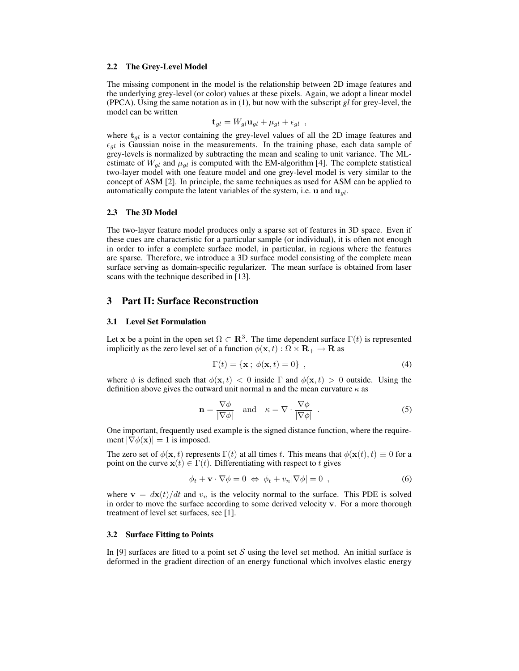#### **2.2 The Grey-Level Model**

The missing component in the model is the relationship between 2D image features and the underlying grey-level (or color) values at these pixels. Again, we adopt a linear model (PPCA). Using the same notation as in (1), but now with the subscript *gl* for grey-level, the model can be written

$$
\mathbf{t}_{gl} = W_{gl} \mathbf{u}_{gl} + \mu_{gl} + \epsilon_{gl} ,
$$

where  $t_{gl}$  is a vector containing the grey-level values of all the 2D image features and  $\epsilon_{ql}$  is Gaussian noise in the measurements. In the training phase, each data sample of grey-levels is normalized by subtracting the mean and scaling to unit variance. The MLestimate of  $W_{gl}$  and  $\mu_{gl}$  is computed with the EM-algorithm [4]. The complete statistical two-layer model with one feature model and one grey-level model is very similar to the concept of ASM [2]. In principle, the same techniques as used for ASM can be applied to automatically compute the latent variables of the system, i.e.  $\mathbf u$  and  $\mathbf u_{gl}$ .

#### **2.3 The 3D Model**

The two-layer feature model produces only a sparse set of features in 3D space. Even if these cues are characteristic for a particular sample (or individual), it is often not enough in order to infer a complete surface model, in particular, in regions where the features are sparse. Therefore, we introduce a 3D surface model consisting of the complete mean surface serving as domain-specific regularizer. The mean surface is obtained from laser scans with the technique described in [13].

## **3 Part II: Surface Reconstruction**

#### **3.1 Level Set Formulation**

Let x be a point in the open set  $\Omega \subset \mathbf{R}^3$ . The time dependent surface  $\Gamma(t)$  is represented implicitly as the zero level set of a function  $\phi(\mathbf{x}, t) : \Omega \times \mathbf{R}_{+} \to \mathbf{R}$  as

$$
\Gamma(t) = \{ \mathbf{x} \; ; \; \phi(\mathbf{x}, t) = 0 \} \; , \tag{4}
$$

where  $\phi$  is defined such that  $\phi(\mathbf{x}, t) < 0$  inside  $\Gamma$  and  $\phi(\mathbf{x}, t) > 0$  outside. Using the definition above gives the outward unit normal n and the mean curvature  $\kappa$  as

$$
\mathbf{n} = \frac{\nabla \phi}{|\nabla \phi|} \quad \text{and} \quad \kappa = \nabla \cdot \frac{\nabla \phi}{|\nabla \phi|} \quad . \tag{5}
$$

One important, frequently used example is the signed distance function, where the requirement  $|\nabla \phi(\mathbf{x})| = 1$  is imposed.

The zero set of  $\phi(\mathbf{x}, t)$  represents  $\Gamma(t)$  at all times t. This means that  $\phi(\mathbf{x}(t), t) \equiv 0$  for a point on the curve  $\mathbf{x}(t) \in \Gamma(t)$ . Differentiating with respect to t gives

$$
\phi_t + \mathbf{v} \cdot \nabla \phi = 0 \Leftrightarrow \phi_t + v_n |\nabla \phi| = 0 , \qquad (6)
$$

where  $\mathbf{v} = d\mathbf{x}(t)/dt$  and  $v_n$  is the velocity normal to the surface. This PDE is solved in order to move the surface according to some derived velocity v. For a more thorough treatment of level set surfaces, see [1].

#### **3.2 Surface Fitting to Points**

In [9] surfaces are fitted to a point set S using the level set method. An initial surface is deformed in the gradient direction of an energy functional which involves elastic energy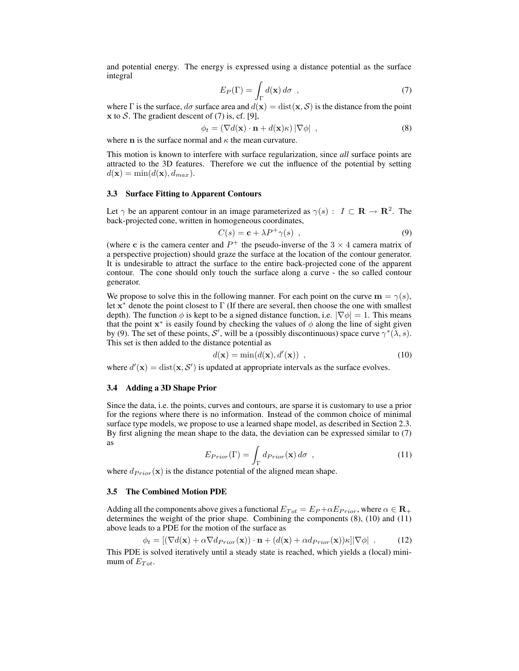and potential energy. The energy is expressed using a distance potential as the surface integral

$$
E_P(\Gamma) = \int_{\Gamma} d(\mathbf{x}) d\sigma , \qquad (7)
$$

where Γ is the surface,  $d\sigma$  surface area and  $d(\mathbf{x}) = \text{dist}(\mathbf{x}, \mathcal{S})$  is the distance from the point x to S. The gradient descent of  $(7)$  is, cf. [9],

$$
\phi_t = (\nabla d(\mathbf{x}) \cdot \mathbf{n} + d(\mathbf{x})\kappa) |\nabla \phi| \quad , \tag{8}
$$

where **n** is the surface normal and  $\kappa$  the mean curvature.

This motion is known to interfere with surface regularization, since *all* surface points are attracted to the 3D features. Therefore we cut the influence of the potential by setting  $d(\mathbf{x}) = \min(d(\mathbf{x}), d_{max}).$ 

#### **3.3 Surface Fitting to Apparent Contours**

Let  $\gamma$  be an apparent contour in an image parameterized as  $\gamma(s) : I \subset \mathbf{R} \to \mathbf{R}^2$ . The back-projected cone, written in homogeneous coordinates,

$$
C(s) = \mathbf{c} + \lambda P^+ \gamma(s) \tag{9}
$$

(where c is the camera center and  $P^+$  the pseudo-inverse of the 3  $\times$  4 camera matrix of a perspective projection) should graze the surface at the location of the contour generator. It is undesirable to attract the surface to the entire back-projected cone of the apparent contour. The cone should only touch the surface along a curve - the so called contour generator.

We propose to solve this in the following manner. For each point on the curve  $\mathbf{m} = \gamma(s)$ , let  $\mathbf{x}^*$  denote the point closest to  $\Gamma$  (If there are several, then choose the one with smallest depth). The function  $\phi$  is kept to be a signed distance function, i.e.  $|\nabla \phi| = 1$ . This means that the point  $x^*$  is easily found by checking the values of  $\phi$  along the line of sight given by (9). The set of these points, S', will be a (possibly discontinuous) space curve  $\gamma^*(\lambda, s)$ . This set is then added to the distance potential as

$$
d(\mathbf{x}) = \min(d(\mathbf{x}), d'(\mathbf{x})) \tag{10}
$$

where  $d'(\mathbf{x}) = \text{dist}(\mathbf{x}, \mathcal{S}')$  is updated at appropriate intervals as the surface evolves.

#### **3.4 Adding a 3D Shape Prior**

Since the data, i.e. the points, curves and contours, are sparse it is customary to use a prior for the regions where there is no information. Instead of the common choice of minimal surface type models, we propose to use a learned shape model, as described in Section 2.3. By first aligning the mean shape to the data, the deviation can be expressed similar to (7) as

$$
E_{Prior}(\Gamma) = \int_{\Gamma} d_{Prior}(\mathbf{x}) d\sigma , \qquad (11)
$$

where  $d_{Prior}(\mathbf{x})$  is the distance potential of the aligned mean shape.

#### **3.5 The Combined Motion PDE**

Adding all the components above gives a functional  $E_{Tot} = E_P + \alpha E_{Prior}$ , where  $\alpha \in \mathbf{R}_+$ determines the weight of the prior shape. Combining the components (8), (10) and (11) above leads to a PDE for the motion of the surface as

$$
\phi_t = [(\nabla d(\mathbf{x}) + \alpha \nabla d_{Prior}(\mathbf{x})) \cdot \mathbf{n} + (d(\mathbf{x}) + \alpha d_{Prior}(\mathbf{x})) \kappa] |\nabla \phi| \tag{12}
$$

This PDE is solved iteratively until a steady state is reached, which yields a (local) minimum of  $E_{Tot}$ .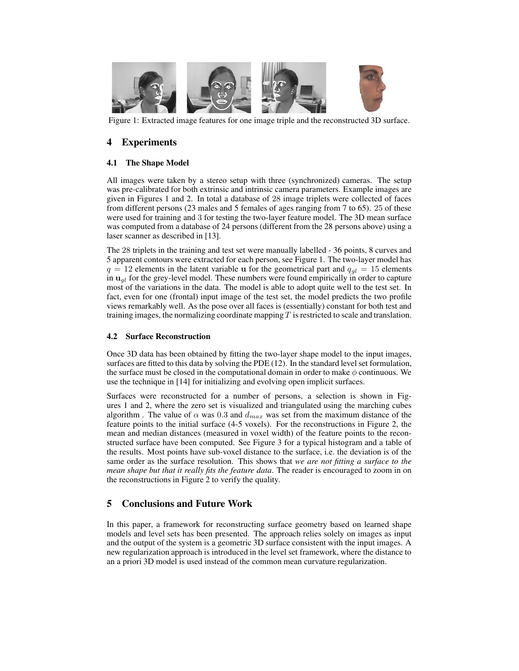

Figure 1: Extracted image features for one image triple and the reconstructed 3D surface.

# **4 Experiments**

## **4.1 The Shape Model**

All images were taken by a stereo setup with three (synchronized) cameras. The setup was pre-calibrated for both extrinsic and intrinsic camera parameters. Example images are given in Figures 1 and 2. In total a database of 28 image triplets were collected of faces from different persons (23 males and 5 females of ages ranging from 7 to 65). 25 of these were used for training and 3 for testing the two-layer feature model. The 3D mean surface was computed from a database of 24 persons (different from the 28 persons above) using a laser scanner as described in [13].

The 28 triplets in the training and test set were manually labelled - 36 points, 8 curves and 5 apparent contours were extracted for each person, see Figure 1. The two-layer model has  $q = 12$  elements in the latent variable u for the geometrical part and  $q_{gl} = 15$  elements in  $u_{gl}$  for the grey-level model. These numbers were found empirically in order to capture most of the variations in the data. The model is able to adopt quite well to the test set. In fact, even for one (frontal) input image of the test set, the model predicts the two profile views remarkably well. As the pose over all faces is (essentially) constant for both test and training images, the normalizing coordinate mapping  $T$  is restricted to scale and translation.

## **4.2 Surface Reconstruction**

Once 3D data has been obtained by fitting the two-layer shape model to the input images, surfaces are fitted to this data by solving the PDE (12). In the standard level set formulation, the surface must be closed in the computational domain in order to make  $\phi$  continuous. We use the technique in [14] for initializing and evolving open implicit surfaces.

Surfaces were reconstructed for a number of persons, a selection is shown in Figures 1 and 2, where the zero set is visualized and triangulated using the marching cubes algorithm . The value of  $\alpha$  was 0.3 and  $d_{max}$  was set from the maximum distance of the feature points to the initial surface (4-5 voxels). For the reconstructions in Figure 2, the mean and median distances (measured in voxel width) of the feature points to the reconstructed surface have been computed. See Figure 3 for a typical histogram and a table of the results. Most points have sub-voxel distance to the surface, i.e. the deviation is of the same order as the surface resolution. This shows that *we are not fitting a surface to the mean shape but that it really fits the feature data*. The reader is encouraged to zoom in on the reconstructions in Figure 2 to verify the quality.

# **5 Conclusions and Future Work**

In this paper, a framework for reconstructing surface geometry based on learned shape models and level sets has been presented. The approach relies solely on images as input and the output of the system is a geometric 3D surface consistent with the input images. A new regularization approach is introduced in the level set framework, where the distance to an a priori 3D model is used instead of the common mean curvature regularization.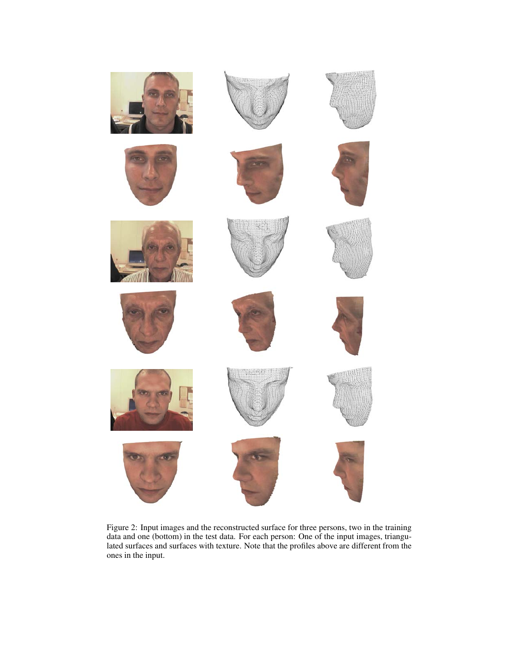

Figure 2: Input images and the reconstructed surface for three persons, two in the training data and one (bottom) in the test data. For each person: One of the input images, triangulated surfaces and surfaces with texture. Note that the profiles above are different from the ones in the input.